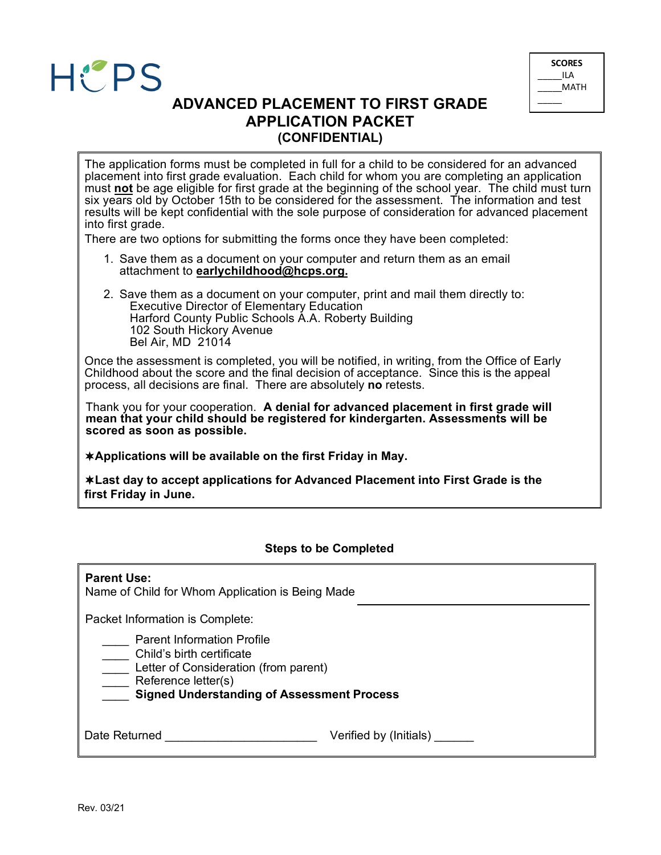



# **ADVANCED PLACEMENT TO FIRST GRADE APPLICATION PACKET (CONFIDENTIAL)**

The application forms must be completed in full for a child to be considered for an advanced placement into first grade evaluation. Each child for whom you are completing an application must **not** be age eligible for first grade at the beginning of the school year. The child must turn six years old by October 15th to be considered for the assessment. The information and test results will be kept confidential with the sole purpose of consideration for advanced placement into first grade.

There are two options for submitting the forms once they have been completed:

- 1. Save them as a document on your computer and return them as an email attachment to **earlychildhood@hcps.org.**
- 2. Save them as a document on your computer, print and mail them directly to: Executive Director of Elementary Education Harford County Public Schools A.A. Roberty Building 102 South Hickory Avenue Bel Air, MD 21014

Once the assessment is completed, you will be notified, in writing, from the Office of Early Childhood about the score and the final decision of acceptance. Since this is the appeal process, all decisions are final. There are absolutely **no** retests.

Thank you for your cooperation. **A denial for advanced placement in first grade will mean that your child should be registered for kindergarten. Assessments will be scored as soon as possible.**

**Applications will be available on the first Friday in May.**

**Last day to accept applications for Advanced Placement into First Grade is the first Friday in June.**

## **Steps to be Completed**

| <b>Parent Use:</b><br>Name of Child for Whom Application is Being Made                                                                                                              |                        |
|-------------------------------------------------------------------------------------------------------------------------------------------------------------------------------------|------------------------|
| Packet Information is Complete:                                                                                                                                                     |                        |
| <b>Parent Information Profile</b><br>Child's birth certificate<br>Letter of Consideration (from parent)<br>Reference letter(s)<br><b>Signed Understanding of Assessment Process</b> |                        |
| Date Returned                                                                                                                                                                       | Verified by (Initials) |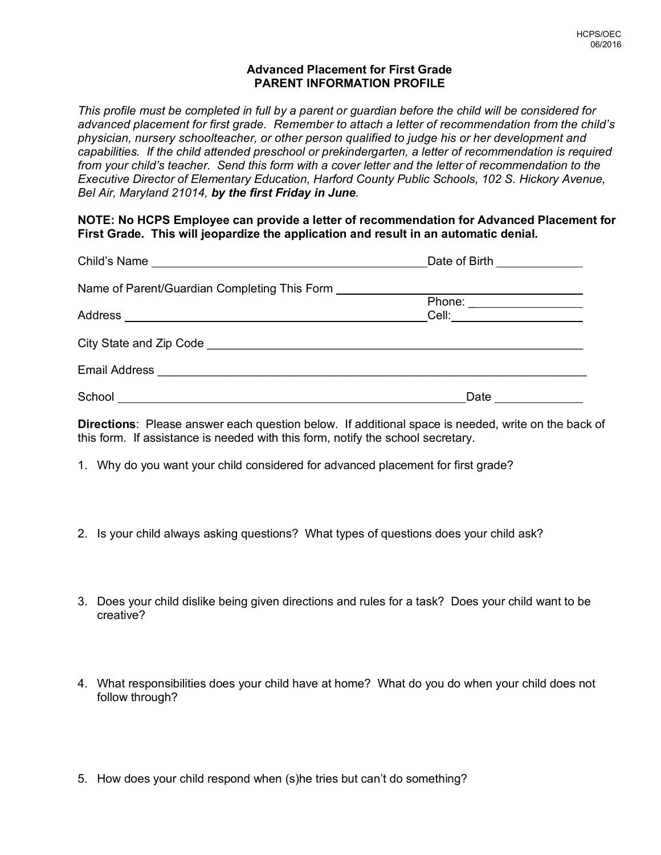## **Advanced Placement for First Grade PARENT INFORMATION PROFILE**

*This profile must be completed in full by a parent or guardian before the child will be considered for advanced placement for first grade. Remember to attach a letter of recommendation from the child's physician, nursery schoolteacher, or other person qualified to judge his or her development and capabilities. If the child attended preschool or prekindergarten, a letter of recommendation is required from your child's teacher. Send this form with a cover letter and the letter of recommendation to the Executive Director of Elementary Education, Harford County Public Schools, 102 S. Hickory Avenue, Bel Air, Maryland 21014, by the first Friday in June.* 

**NOTE: No HCPS Employee can provide a letter of recommendation for Advanced Placement for First Grade. This will jeopardize the application and result in an automatic denial.**

|                                                                                  | Date of Birth ______________ |  |
|----------------------------------------------------------------------------------|------------------------------|--|
| Name of Parent/Guardian Completing This Form ___________________________________ |                              |  |
|                                                                                  | Phone: ____________________  |  |
|                                                                                  | Cell: ____________________   |  |
|                                                                                  |                              |  |
|                                                                                  |                              |  |
|                                                                                  | Date                         |  |

**Directions**: Please answer each question below. If additional space is needed, write on the back of this form. If assistance is needed with this form, notify the school secretary.

- 1. Why do you want your child considered for advanced placement for first grade?
- 2. Is your child always asking questions? What types of questions does your child ask?
- 3. Does your child dislike being given directions and rules for a task? Does your child want to be creative?
- 4. What responsibilities does your child have at home? What do you do when your child does not follow through?
- 5. How does your child respond when (s)he tries but can't do something?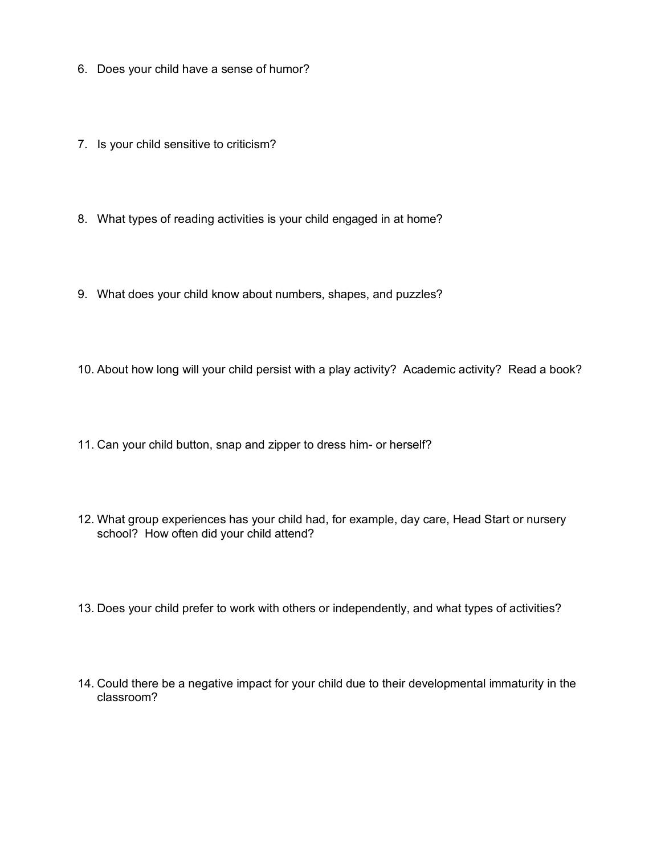- 6. Does your child have a sense of humor?
- 7. Is your child sensitive to criticism?
- 8. What types of reading activities is your child engaged in at home?
- 9. What does your child know about numbers, shapes, and puzzles?
- 10. About how long will your child persist with a play activity? Academic activity? Read a book?
- 11. Can your child button, snap and zipper to dress him- or herself?
- 12. What group experiences has your child had, for example, day care, Head Start or nursery school? How often did your child attend?
- 13. Does your child prefer to work with others or independently, and what types of activities?
- 14. Could there be a negative impact for your child due to their developmental immaturity in the classroom?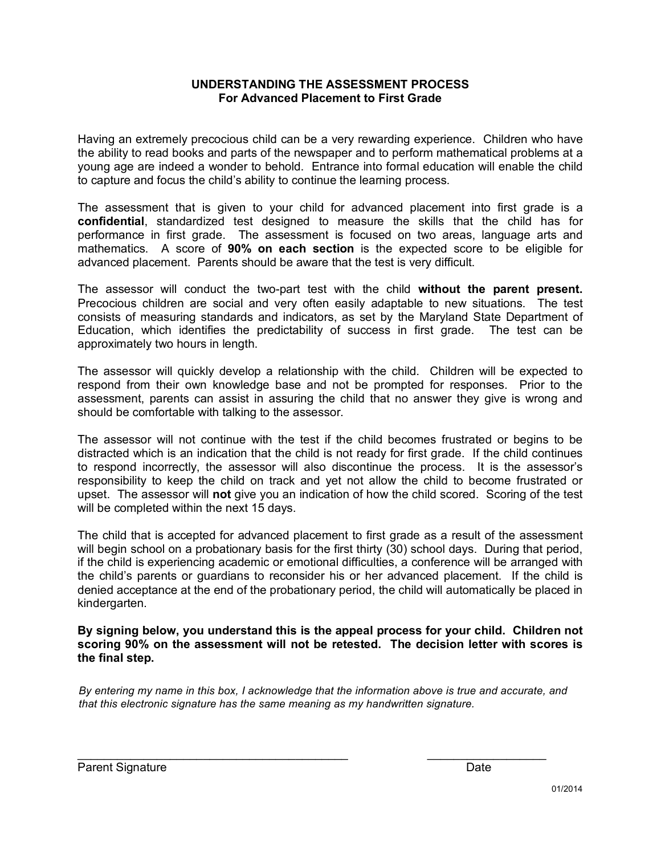## **UNDERSTANDING THE ASSESSMENT PROCESS For Advanced Placement to First Grade**

Having an extremely precocious child can be a very rewarding experience. Children who have the ability to read books and parts of the newspaper and to perform mathematical problems at a young age are indeed a wonder to behold. Entrance into formal education will enable the child to capture and focus the child's ability to continue the learning process.

The assessment that is given to your child for advanced placement into first grade is a **confidential**, standardized test designed to measure the skills that the child has for performance in first grade. The assessment is focused on two areas, language arts and mathematics. A score of **90% on each section** is the expected score to be eligible for advanced placement. Parents should be aware that the test is very difficult.

The assessor will conduct the two-part test with the child **without the parent present.** Precocious children are social and very often easily adaptable to new situations. The test consists of measuring standards and indicators, as set by the Maryland State Department of Education, which identifies the predictability of success in first grade. The test can be approximately two hours in length.

The assessor will quickly develop a relationship with the child. Children will be expected to respond from their own knowledge base and not be prompted for responses. Prior to the assessment, parents can assist in assuring the child that no answer they give is wrong and should be comfortable with talking to the assessor.

The assessor will not continue with the test if the child becomes frustrated or begins to be distracted which is an indication that the child is not ready for first grade. If the child continues to respond incorrectly, the assessor will also discontinue the process. It is the assessor's responsibility to keep the child on track and yet not allow the child to become frustrated or upset. The assessor will **not** give you an indication of how the child scored. Scoring of the test will be completed within the next 15 days.

The child that is accepted for advanced placement to first grade as a result of the assessment will begin school on a probationary basis for the first thirty (30) school days. During that period, if the child is experiencing academic or emotional difficulties, a conference will be arranged with the child's parents or guardians to reconsider his or her advanced placement. If the child is denied acceptance at the end of the probationary period, the child will automatically be placed in kindergarten.

**By signing below, you understand this is the appeal process for your child. Children not scoring 90% on the assessment will not be retested. The decision letter with scores is the final step.** 

*By entering my name in this box, I acknowledge that the information above is true and accurate, and that this electronic signature has the same meaning as my handwritten signature.*

 $\_$  , and the set of the set of the set of the set of the set of the set of the set of the set of the set of the set of the set of the set of the set of the set of the set of the set of the set of the set of the set of th

Parent Signature Date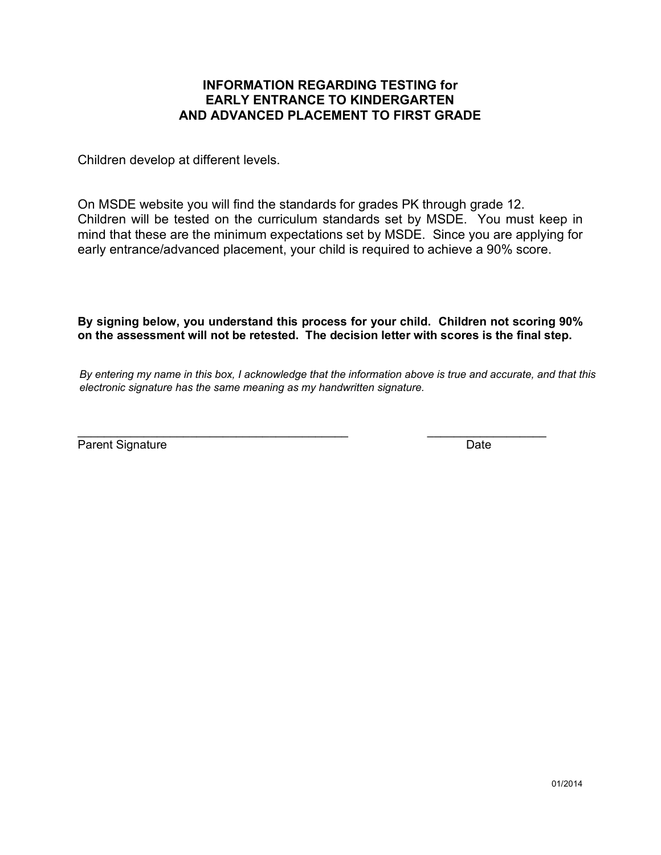# **INFORMATION REGARDING TESTING for EARLY ENTRANCE TO KINDERGARTEN AND ADVANCED PLACEMENT TO FIRST GRADE**

Children develop at different levels.

On MSDE website you will find the standards for grades PK through grade 12. Children will be tested on the curriculum standards set by MSDE. You must keep in mind that these are the minimum expectations set by MSDE. Since you are applying for early entrance/advanced placement, your child is required to achieve a 90% score.

**By signing below, you understand this process for your child. Children not scoring 90% on the assessment will not be retested. The decision letter with scores is the final step.** 

*By entering my name in this box, I acknowledge that the information above is true and accurate, and that this electronic signature has the same meaning as my handwritten signature.*

\_\_\_\_\_\_\_\_\_\_\_\_\_\_\_\_\_\_\_\_\_\_\_\_\_\_\_\_\_\_\_\_\_\_\_\_\_\_\_\_\_ \_\_\_\_\_\_\_\_\_\_\_\_\_\_\_\_\_\_ Parent Signature Date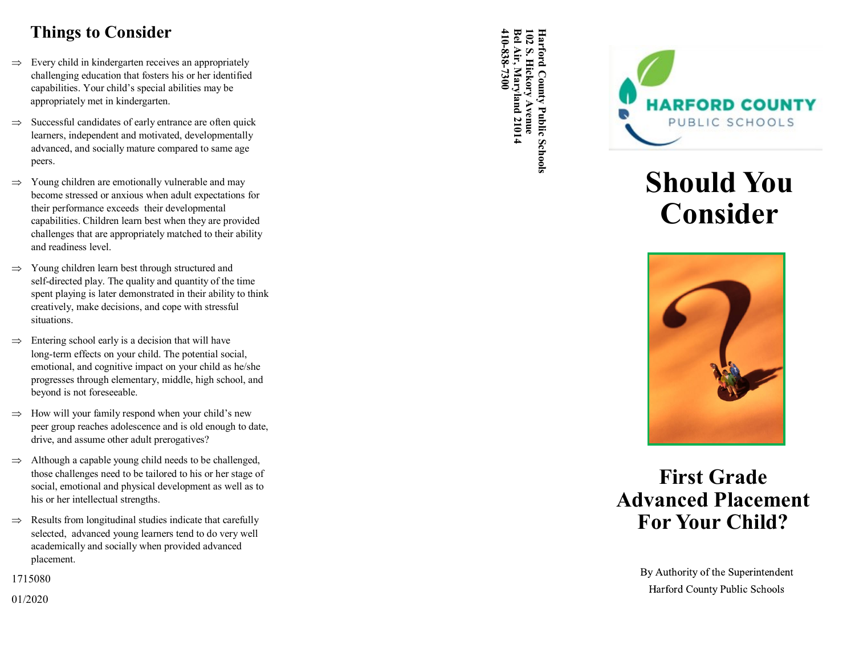# **Things to Consider**

- $\Rightarrow$  Every child in kindergarten receives an appropriately challenging education that fosters his or her identified capabilities. Your child 's special abilities may be appropriately met in kindergarten.
- $\Rightarrow$  Successful candidates of early entrance are often quick learners, independent and motivated, developmentally advanced, and socially mature compared to same age peers.
- $\Rightarrow$  Young children are emotionally vulnerable and may become stressed or anxious when adult expectations for their performance exceeds their developmental capabilities. Children learn best when they are provided challenges that are appropriately matched to their ability and readiness level.
- $\Rightarrow$  Young children learn best through structured and self-directed play. The quality and quantity of the time spent playing is later demonstrated in their ability to think creatively, make decisions, and cope with stressful situations.
- Entering school early is a decision that will have long -term effects on your child. The potential social, emotional, and cognitive impact on your child as he/she progresses through elementary, middle, high school, and beyond is not foreseeable.
- $\Rightarrow$  How will your family respond when your child's new peer group reaches adolescence and is old enough to date, drive, and assume other adult prerogatives?
- $\Rightarrow$  Although a capable young child needs to be challenged, those challenges need to be tailored to his or her stage of social, emotional and physical development as well as to his or her intellectual strengths.
- $\Rightarrow$  Results from longitudinal studies indicate that carefully selected, advanced young learners tend to do very well academically and socially when provided advanced placement.

1715080

01/2020

**Bel Air, Maryland 21014 Harford County Public Schools 410 -838- 7300 102 S. Hickory Avenue** Harford County Public Schools



# **Should You Consider**



# **First Grade Advanced Placement For Your Child?**

By Authority of the Superintendent Harford County Public Schools